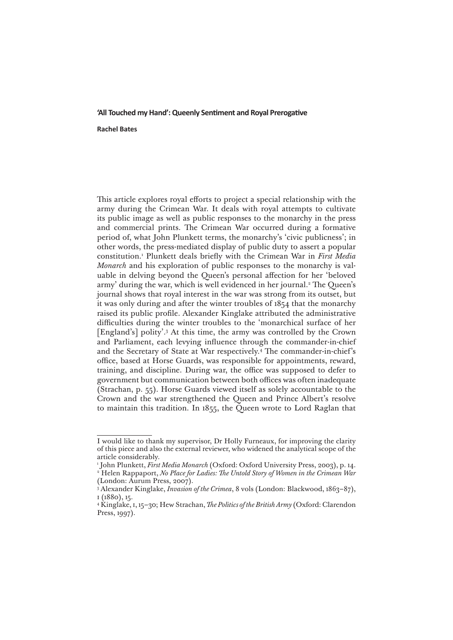## **'All Touched my Hand': Queenly Sentiment and Royal Prerogative**

## **Rachel Bates**

This article explores royal efforts to project a special relationship with the army during the Crimean War. It deals with royal attempts to cultivate its public image as well as public responses to the monarchy in the press and commercial prints. The Crimean War occurred during a formative period of, what John Plunkett terms, the monarchy's 'civic publicness'; in other words, the press-mediated display of public duty to assert a popular constitution.1 Plunkett deals briefly with the Crimean War in *First Media Monarch* and his exploration of public responses to the monarchy is valuable in delving beyond the Queen's personal affection for her 'beloved army' during the war, which is well evidenced in her journal.2 The Queen's journal shows that royal interest in the war was strong from its outset, but it was only during and after the winter troubles of 1854 that the monarchy raised its public profile. Alexander Kinglake attributed the administrative difficulties during the winter troubles to the 'monarchical surface of her [England's] polity'.3 At this time, the army was controlled by the Crown and Parliament, each levying influence through the commander-in-chief and the Secretary of State at War respectively.4 The commander-in-chief's office, based at Horse Guards, was responsible for appointments, reward, training, and discipline. During war, the office was supposed to defer to government but communication between both offices was often inadequate (Strachan, p. 55). Horse Guards viewed itself as solely accountable to the Crown and the war strengthened the Queen and Prince Albert's resolve to maintain this tradition. In 1855, the Queen wrote to Lord Raglan that

I would like to thank my supervisor, Dr Holly Furneaux, for improving the clarity of this piece and also the external reviewer, who widened the analytical scope of the article considerably.

<sup>1</sup> John Plunkett, *First Media Monarch* (Oxford: Oxford University Press, 2003), p. 14. 2 Helen Rappaport, *No Place for Ladies: The Untold Story of Women in the Crimean War*  (London: Aurum Press, 2007).

<sup>&</sup>lt;sup>3</sup> Alexander Kinglake, *Invasion of the Crimea*, 8 vols (London: Blackwood, 1863–87), i (1880), 15.

<sup>4</sup> Kinglake, i, 15–30; Hew Strachan, *The Politics of the British Army* (Oxford: Clarendon Press, 1997).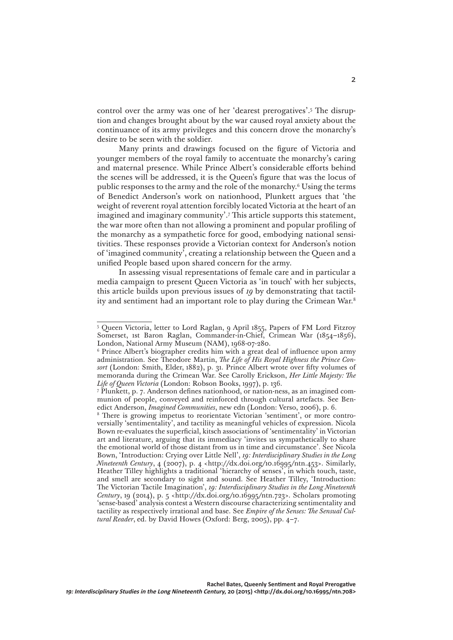control over the army was one of her 'dearest prerogatives'.5 The disruption and changes brought about by the war caused royal anxiety about the continuance of its army privileges and this concern drove the monarchy's desire to be seen with the soldier.

Many prints and drawings focused on the figure of Victoria and younger members of the royal family to accentuate the monarchy's caring and maternal presence. While Prince Albert's considerable efforts behind the scenes will be addressed, it is the Queen's figure that was the locus of public responses to the army and the role of the monarchy.6 Using the terms of Benedict Anderson's work on nationhood, Plunkett argues that 'the weight of reverent royal attention forcibly located Victoria at the heart of an imagined and imaginary community'.7 This article supports this statement, the war more often than not allowing a prominent and popular profiling of the monarchy as a sympathetic force for good, embodying national sensitivities. These responses provide a Victorian context for Anderson's notion of 'imagined community', creating a relationship between the Queen and a unified People based upon shared concern for the army.

In assessing visual representations of female care and in particular a media campaign to present Queen Victoria as 'in touch' with her subjects, this article builds upon previous issues of *19* by demonstrating that tactility and sentiment had an important role to play during the Crimean War.8

<sup>5</sup> Queen Victoria, letter to Lord Raglan, 9 April 1855, Papers of FM Lord Fitzroy Somerset, 1st Baron Raglan, Commander-in-Chief, Crimean War (1854–1856), London, National Army Museum (NAM), 1968-07-280.

<sup>6</sup> Prince Albert's biographer credits him with a great deal of influence upon army administration. See Theodore Martin, *The Life of His Royal Highness the Prince Consort* (London: Smith, Elder, 1882), p. 31. Prince Albert wrote over fifty volumes of memoranda during the Crimean War. See Carolly Erickson, *Her Little Majesty: The Life of Queen Victoria* (London: Robson Books, 1997), p. 136. 7

Plunkett, p. 7. Anderson defines nationhood, or nation-ness, as an imagined communion of people, conveyed and reinforced through cultural artefacts. See Benedict Anderson, *Imagined Communities*, new edn (London: Verso, 2006), p. 6.

<sup>8</sup> There is growing impetus to reorientate Victorian 'sentiment', or more controversially 'sentimentality', and tactility as meaningful vehicles of expression. Nicola Bown re-evaluates the superficial, kitsch associations of 'sentimentality' in Victorian art and literature, arguing that its immediacy 'invites us sympathetically to share the emotional world of those distant from us in time and circumstance'. See Nicola Bown, 'Introduction: Crying over Little Nell', *19: Interdisciplinary Studies in the Long Nineteenth Century*, 4 (2007), p. 4 <http://dx.doi.org/10.16995/ntn.453>. Similarly, Heather Tilley highlights a traditional 'hierarchy of senses', in which touch, taste, and smell are secondary to sight and sound. See Heather Tilley, 'Introduction: The Victorian Tactile Imagination', *19: Interdisciplinary Studies in the Long Nineteenth Century*, 19 (2014), p. 5 <http://dx.doi.org/10.16995/ntn.723>. Scholars promoting 'sense-based' analysis contest a Western discourse characterizing sentimentality and tactility as respectively irrational and base. See *Empire of the Senses: The Sensual Cultural Reader*, ed. by David Howes (Oxford: Berg, 2005), pp. 4–7.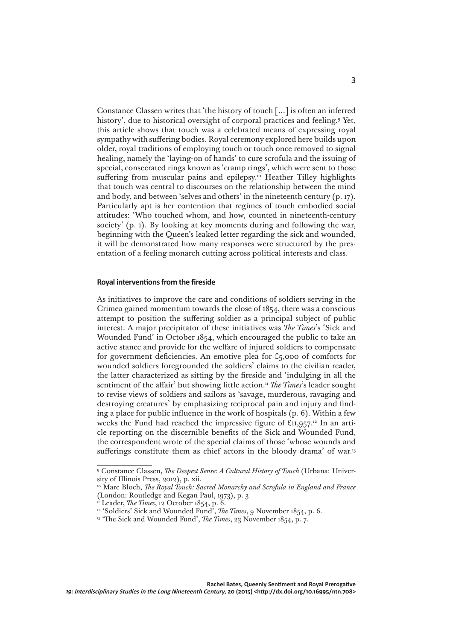Constance Classen writes that 'the history of touch […] is often an inferred history', due to historical oversight of corporal practices and feeling.9 Yet, this article shows that touch was a celebrated means of expressing royal sympathy with suffering bodies. Royal ceremony explored here builds upon older, royal traditions of employing touch or touch once removed to signal healing, namely the 'laying-on of hands' to cure scrofula and the issuing of special, consecrated rings known as 'cramp rings', which were sent to those suffering from muscular pains and epilepsy.<sup>10</sup> Heather Tilley highlights that touch was central to discourses on the relationship between the mind and body, and between 'selves and others' in the nineteenth century (p. 17). Particularly apt is her contention that regimes of touch embodied social attitudes: 'Who touched whom, and how, counted in nineteenth-century society' (p. 1). By looking at key moments during and following the war, beginning with the Queen's leaked letter regarding the sick and wounded, it will be demonstrated how many responses were structured by the presentation of a feeling monarch cutting across political interests and class.

## **Royal interventions from the fireside**

As initiatives to improve the care and conditions of soldiers serving in the Crimea gained momentum towards the close of 1854, there was a conscious attempt to position the suffering soldier as a principal subject of public interest. A major precipitator of these initiatives was *The Times*'s 'Sick and Wounded Fund' in October 1854, which encouraged the public to take an active stance and provide for the welfare of injured soldiers to compensate for government deficiencies. An emotive plea for £5,000 of comforts for wounded soldiers foregrounded the soldiers' claims to the civilian reader, the latter characterized as sitting by the fireside and 'indulging in all the sentiment of the affair' but showing little action.<sup>11</sup> *The Times*'s leader sought to revise views of soldiers and sailors as 'savage, murderous, ravaging and destroying creatures' by emphasizing reciprocal pain and injury and finding a place for public influence in the work of hospitals  $(p, 6)$ . Within a few weeks the Fund had reached the impressive figure of  $\text{\textsterling}11,957$ .<sup>12</sup> In an article reporting on the discernible benefits of the Sick and Wounded Fund, the correspondent wrote of the special claims of those 'whose wounds and sufferings constitute them as chief actors in the bloody drama' of war.<sup>13</sup>

<sup>&</sup>lt;sup>9</sup> Constance Classen, *The Deepest Sense: A Cultural History of Touch* (Urbana: University of Illinois Press, 2012), p. xii.

<sup>&</sup>lt;sup>10</sup> Marc Bloch, *The Royal Touch: Sacred Monarchy and Scrofula in England and France* (London: Routledge and Kegan Paul, 1973), p. 3

<sup>11</sup> Leader, *The Times*, 12 October 1854, p. 6.

<sup>12 &#</sup>x27;Soldiers' Sick and Wounded Fund', *The Times*, 9 November 1854, p. 6.

<sup>&</sup>lt;sup>13</sup> 'The Sick and Wounded Fund', *The Times*, 23 November 1854, p. 7.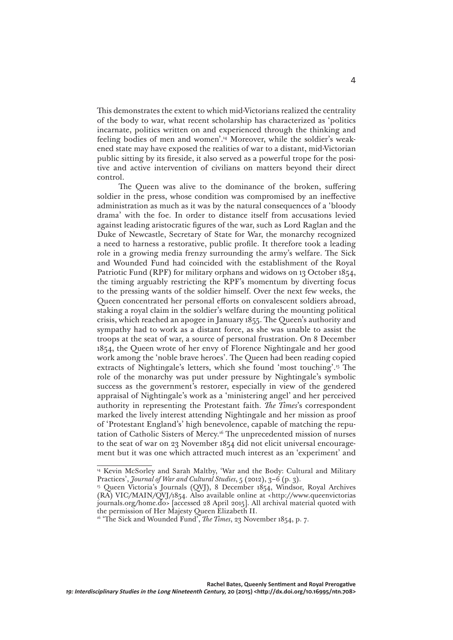This demonstrates the extent to which mid-Victorians realized the centrality of the body to war, what recent scholarship has characterized as 'politics incarnate, politics written on and experienced through the thinking and feeling bodies of men and women'.14 Moreover, while the soldier's weakened state may have exposed the realities of war to a distant, mid-Victorian public sitting by its fireside, it also served as a powerful trope for the positive and active intervention of civilians on matters beyond their direct control.

The Queen was alive to the dominance of the broken, suffering soldier in the press, whose condition was compromised by an ineffective administration as much as it was by the natural consequences of a 'bloody drama' with the foe. In order to distance itself from accusations levied against leading aristocratic figures of the war, such as Lord Raglan and the Duke of Newcastle, Secretary of State for War, the monarchy recognized a need to harness a restorative, public profile. It therefore took a leading role in a growing media frenzy surrounding the army's welfare. The Sick and Wounded Fund had coincided with the establishment of the Royal Patriotic Fund (RPF) for military orphans and widows on 13 October 1854, the timing arguably restricting the RPF's momentum by diverting focus to the pressing wants of the soldier himself. Over the next few weeks, the Queen concentrated her personal efforts on convalescent soldiers abroad, staking a royal claim in the soldier's welfare during the mounting political crisis, which reached an apogee in January 1855. The Queen's authority and sympathy had to work as a distant force, as she was unable to assist the troops at the seat of war, a source of personal frustration. On 8 December 1854, the Queen wrote of her envy of Florence Nightingale and her good work among the 'noble brave heroes'. The Queen had been reading copied extracts of Nightingale's letters, which she found 'most touching'.15 The role of the monarchy was put under pressure by Nightingale's symbolic success as the government's restorer, especially in view of the gendered appraisal of Nightingale's work as a 'ministering angel' and her perceived authority in representing the Protestant faith. *The Times*'s correspondent marked the lively interest attending Nightingale and her mission as proof of 'Protestant England's' high benevolence, capable of matching the reputation of Catholic Sisters of Mercy.16 The unprecedented mission of nurses to the seat of war on 23 November 1854 did not elicit universal encouragement but it was one which attracted much interest as an 'experiment' and

<sup>&</sup>lt;sup>14</sup> Kevin McSorley and Sarah Maltby, 'War and the Body: Cultural and Military Practices', *Journal of War and Cultural Studies*, 5 (2012), 3–6 (p. 3).

<sup>&</sup>lt;sup>15</sup> Queen Victoria's Journals (QVJ), 8 December 1854, Windsor, Royal Archives (RA) VIC/MAIN/QVJ/1854. Also available online at <[http://www.queenvictorias](http://www.queenvictoriasjournals.org/home.do) [journals.org/home.do](http://www.queenvictoriasjournals.org/home.do)> [accessed 28 April 2015]. All archival material quoted with the permission of Her Majesty Queen Elizabeth II.

<sup>&</sup>lt;sup>16</sup> 'The Sick and Wounded Fund', *The Times*, 23 November 1854, p. 7.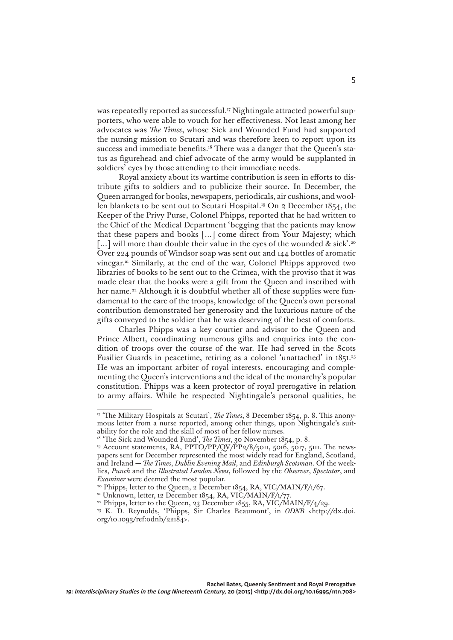was repeatedly reported as successful.<sup>17</sup> Nightingale attracted powerful supporters, who were able to vouch for her effectiveness. Not least among her advocates was *The Times*, whose Sick and Wounded Fund had supported the nursing mission to Scutari and was therefore keen to report upon its success and immediate benefits.<sup>18</sup> There was a danger that the Queen's status as figurehead and chief advocate of the army would be supplanted in soldiers' eyes by those attending to their immediate needs.

Royal anxiety about its wartime contribution is seen in efforts to distribute gifts to soldiers and to publicize their source. In December, the Queen arranged for books, newspapers, periodicals, air cushions, and woollen blankets to be sent out to Scutari Hospital.19 On 2 December 1854, the Keeper of the Privy Purse, Colonel Phipps, reported that he had written to the Chief of the Medical Department 'begging that the patients may know that these papers and books […] come direct from Your Majesty; which [...] will more than double their value in the eyes of the wounded & sick'.<sup>20</sup> Over 224 pounds of Windsor soap was sent out and 144 bottles of aromatic vinegar.21 Similarly, at the end of the war, Colonel Phipps approved two libraries of books to be sent out to the Crimea, with the proviso that it was made clear that the books were a gift from the Queen and inscribed with her name.<sup>22</sup> Although it is doubtful whether all of these supplies were fundamental to the care of the troops, knowledge of the Queen's own personal contribution demonstrated her generosity and the luxurious nature of the gifts conveyed to the soldier that he was deserving of the best of comforts.

Charles Phipps was a key courtier and advisor to the Queen and Prince Albert, coordinating numerous gifts and enquiries into the condition of troops over the course of the war. He had served in the Scots Fusilier Guards in peacetime, retiring as a colonel 'unattached' in 1851.23 He was an important arbiter of royal interests, encouraging and complementing the Queen's interventions and the ideal of the monarchy's popular constitution. Phipps was a keen protector of royal prerogative in relation to army affairs. While he respected Nightingale's personal qualities, he

<sup>&</sup>lt;sup>17</sup> 'The Military Hospitals at Scutari', *The Times*, 8 December 1854, p. 8. This anonymous letter from a nurse reported, among other things, upon Nightingale's suitability for the role and the skill of most of her fellow nurses.

<sup>18 &#</sup>x27;The Sick and Wounded Fund', *The Times*, 30 November 1854, p. 8.

<sup>19</sup> Account statements, RA, PPTO/PP/QV/PP2/8/5011, 5016, 5017, 5111. The newspapers sent for December represented the most widely read for England, Scotland, and Ireland — *The Times*, *Dublin Evening Mail*, and *Edinburgh Scotsman*. Of the weeklies, *Punch* and the *Illustrated London News*, followed by the *Observer*, *Spectator*, and *Examiner* were deemed the most popular.

<sup>&</sup>lt;sup>20</sup> Phipps, letter to the Queen, 2 December 1854, RA, VIC/MAIN/F/1/67.

<sup>&</sup>lt;sup>21</sup> Unknown, letter, 12 December 1854, RA, VIC/MAIN/F/1/77.

<sup>&</sup>lt;sup>22</sup> Phipps, letter to the Queen, 23 December 1855, RA, VIC/MAIN/F/ $4/29$ .

<sup>&</sup>lt;sup>23</sup> K. D. Reynolds, 'Phipps, Sir Charles Beaumont', in *ODNB* <http://dx.doi. org/10.1093/ref:odnb/22184>.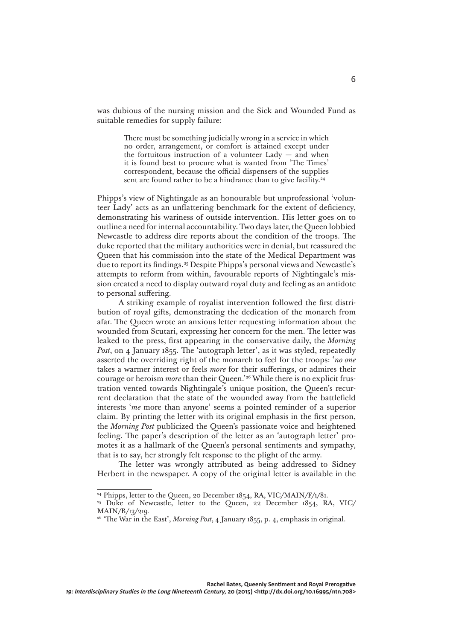was dubious of the nursing mission and the Sick and Wounded Fund as suitable remedies for supply failure:

> There must be something judicially wrong in a service in which no order, arrangement, or comfort is attained except under the fortuitous instruction of a volunteer  $Lady - and when$ it is found best to procure what is wanted from 'The Times' correspondent, because the official dispensers of the supplies sent are found rather to be a hindrance than to give facility.<sup>24</sup>

Phipps's view of Nightingale as an honourable but unprofessional 'volunteer Lady' acts as an unflattering benchmark for the extent of deficiency, demonstrating his wariness of outside intervention. His letter goes on to outline a need for internal accountability. Two days later, the Queen lobbied Newcastle to address dire reports about the condition of the troops. The duke reported that the military authorities were in denial, but reassured the Queen that his commission into the state of the Medical Department was due to report its findings.25 Despite Phipps's personal views and Newcastle's attempts to reform from within, favourable reports of Nightingale's mission created a need to display outward royal duty and feeling as an antidote to personal suffering.

A striking example of royalist intervention followed the first distribution of royal gifts, demonstrating the dedication of the monarch from afar. The Queen wrote an anxious letter requesting information about the wounded from Scutari, expressing her concern for the men. The letter was leaked to the press, first appearing in the conservative daily, the *Morning Post*, on 4 January 1855*.* The 'autograph letter', as it was styled, repeatedly asserted the overriding right of the monarch to feel for the troops: '*no one* takes a warmer interest or feels *more* for their sufferings, or admires their courage or heroism *more* than their Queen.'26 While there is no explicit frustration vented towards Nightingale's unique position, the Queen's recurrent declaration that the state of the wounded away from the battlefield interests '*me* more than anyone' seems a pointed reminder of a superior claim. By printing the letter with its original emphasis in the first person, the *Morning Post* publicized the Queen's passionate voice and heightened feeling. The paper's description of the letter as an 'autograph letter' promotes it as a hallmark of the Queen's personal sentiments and sympathy, that is to say, her strongly felt response to the plight of the army.

The letter was wrongly attributed as being addressed to Sidney Herbert in the newspaper. A copy of the original letter is available in the

<sup>&</sup>lt;sup>24</sup> Phipps, letter to the Queen, 20 December 1854, RA, VIC/MAIN/F/1/81.

<sup>&</sup>lt;sup>25</sup> Duke of Newcastle, letter to the Queen, 22 December 1854, RA, VIC/ MAIN/B/13/219.

<sup>26 &#</sup>x27;The War in the East', *Morning Post*, 4 January 1855, p. 4, emphasis in original.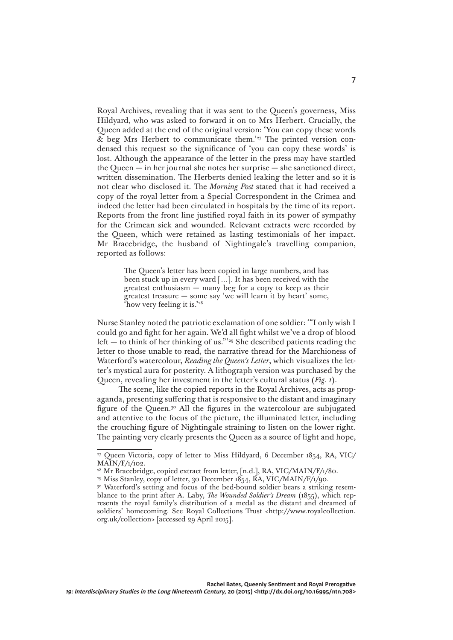Royal Archives, revealing that it was sent to the Queen's governess, Miss Hildyard, who was asked to forward it on to Mrs Herbert. Crucially, the Queen added at the end of the original version: 'You can copy these words & beg Mrs Herbert to communicate them.'27 The printed version condensed this request so the significance of 'you can copy these words' is lost. Although the appearance of the letter in the press may have startled the Queen — in her journal she notes her surprise — she sanctioned direct, written dissemination. The Herberts denied leaking the letter and so it is not clear who disclosed it. The *Morning Post* stated that it had received a copy of the royal letter from a Special Correspondent in the Crimea and indeed the letter had been circulated in hospitals by the time of its report. Reports from the front line justified royal faith in its power of sympathy for the Crimean sick and wounded. Relevant extracts were recorded by the Queen, which were retained as lasting testimonials of her impact. Mr Bracebridge, the husband of Nightingale's travelling companion, reported as follows:

> The Queen's letter has been copied in large numbers, and has been stuck up in every ward […]. It has been received with the greatest enthusiasm  $-$  many beg for a copy to keep as their greatest treasure — some say 'we will learn it by heart' some, 'how very feeling it is.'28

Nurse Stanley noted the patriotic exclamation of one soldier: '"I only wish I could go and fight for her again. We'd all fight whilst we've a drop of blood left — to think of her thinking of us."'29 She described patients reading the letter to those unable to read, the narrative thread for the Marchioness of Waterford's watercolour, *Reading the Queen's Letter*, which visualizes the letter's mystical aura for posterity. A lithograph version was purchased by the Queen, revealing her investment in the letter's cultural status (*Fig. 1*).

The scene, like the copied reports in the Royal Archives, acts as propaganda, presenting suffering that is responsive to the distant and imaginary figure of the Queen.30 All the figures in the watercolour are subjugated and attentive to the focus of the picture, the illuminated letter, including the crouching figure of Nightingale straining to listen on the lower right. The painting very clearly presents the Queen as a source of light and hope,

<sup>27</sup> Queen Victoria, copy of letter to Miss Hildyard, 6 December 1854, RA, VIC/ MAIN/F/1/102.

<sup>&</sup>lt;sup>28</sup> Mr Bracebridge, copied extract from letter, [n.d.], RA, VIC/MAIN/F/1/80.

<sup>&</sup>lt;sup>29</sup> Miss Stanley, copy of letter, 30 December 1854, RA, VIC/MAIN/F/1/90.

<sup>&</sup>lt;sup>30</sup> Waterford's setting and focus of the bed-bound soldier bears a striking resemblance to the print after A. Laby, *The Wounded Soldier's Dream* (1855), which represents the royal family's distribution of a medal as the distant and dreamed of soldiers' homecoming. See Royal Collections Trust <http://www.royalcollection. org.uk/collection> [accessed 29 April 2015].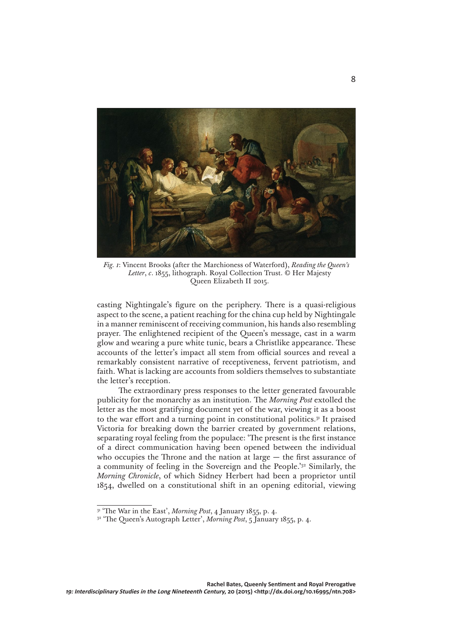

*Fig. 1*: Vincent Brooks (after the Marchioness of Waterford), *Reading the Queen's Letter*, *c*. 1855, lithograph. Royal Collection Trust. © Her Majesty Queen Elizabeth II 2015.

casting Nightingale's figure on the periphery. There is a quasi-religious aspect to the scene, a patient reaching for the china cup held by Nightingale in a manner reminiscent of receiving communion, his hands also resembling prayer. The enlightened recipient of the Queen's message, cast in a warm glow and wearing a pure white tunic, bears a Christlike appearance. These accounts of the letter's impact all stem from official sources and reveal a remarkably consistent narrative of receptiveness, fervent patriotism, and faith. What is lacking are accounts from soldiers themselves to substantiate the letter's reception.

The extraordinary press responses to the letter generated favourable publicity for the monarchy as an institution. The *Morning Post* extolled the letter as the most gratifying document yet of the war, viewing it as a boost to the war effort and a turning point in constitutional politics.<sup>31</sup> It praised Victoria for breaking down the barrier created by government relations, separating royal feeling from the populace: 'The present is the first instance of a direct communication having been opened between the individual who occupies the Throne and the nation at large — the first assurance of a community of feeling in the Sovereign and the People.'32 Similarly, the *Morning Chronicle*, of which Sidney Herbert had been a proprietor until 1854, dwelled on a constitutional shift in an opening editorial, viewing

<sup>31 &#</sup>x27;The War in the East', *Morning Post*, 4 January 1855, p. 4.

<sup>&</sup>lt;sup>32</sup> 'The Queen's Autograph Letter', *Morning Post*, 5 January 1855, p. 4.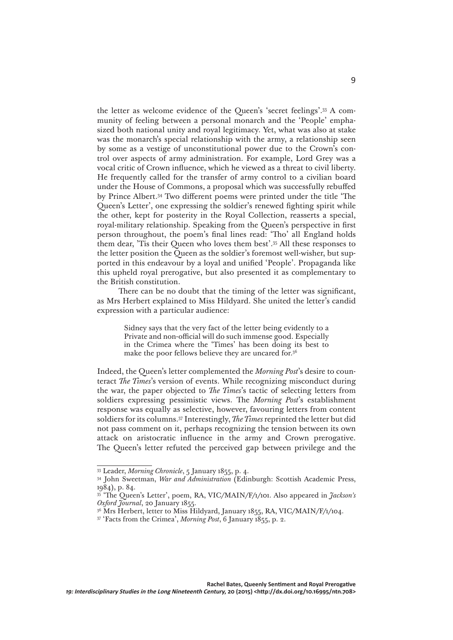the letter as welcome evidence of the Queen's 'secret feelings'.33 A community of feeling between a personal monarch and the 'People' emphasized both national unity and royal legitimacy. Yet, what was also at stake was the monarch's special relationship with the army, a relationship seen by some as a vestige of unconstitutional power due to the Crown's control over aspects of army administration. For example, Lord Grey was a vocal critic of Crown influence, which he viewed as a threat to civil liberty. He frequently called for the transfer of army control to a civilian board under the House of Commons, a proposal which was successfully rebuffed by Prince Albert.34 Two different poems were printed under the title 'The Queen's Letter', one expressing the soldier's renewed fighting spirit while the other, kept for posterity in the Royal Collection, reasserts a special, royal-military relationship. Speaking from the Queen's perspective in first person throughout, the poem's final lines read: 'Tho' all England holds them dear, 'Tis their Queen who loves them best'.35 All these responses to the letter position the Queen as the soldier's foremost well-wisher, but supported in this endeavour by a loyal and unified 'People'. Propaganda like this upheld royal prerogative, but also presented it as complementary to the British constitution.

There can be no doubt that the timing of the letter was significant, as Mrs Herbert explained to Miss Hildyard. She united the letter's candid expression with a particular audience:

> Sidney says that the very fact of the letter being evidently to a Private and non-official will do such immense good. Especially in the Crimea where the 'Times' has been doing its best to make the poor fellows believe they are uncared for.36

Indeed, the Queen's letter complemented the *Morning Post*'s desire to counteract *The Times*'s version of events. While recognizing misconduct during the war, the paper objected to *The Times*'s tactic of selecting letters from soldiers expressing pessimistic views. The *Morning Post*'s establishment response was equally as selective, however, favouring letters from content soldiers for its columns.37 Interestingly, *The Times* reprinted the letter but did not pass comment on it, perhaps recognizing the tension between its own attack on aristocratic influence in the army and Crown prerogative. The Queen's letter refuted the perceived gap between privilege and the

<sup>33</sup> Leader, *Morning Chronicle*, 5 January 1855, p. 4.

<sup>34</sup> John Sweetman, *War and Administration* (Edinburgh: Scottish Academic Press, 1984), p. 84.

<sup>35 &#</sup>x27;The Queen's Letter', poem, RA, VIC/MAIN/F/1/101. Also appeared in *Jackson's Oxford Journal*, 20 January 1855.

<sup>&</sup>lt;sup>36</sup> Mrs Herbert, letter to Miss Hildyard, January 1855, RA, VIC/MAIN/F/1/104.

<sup>37 &#</sup>x27;Facts from the Crimea', *Morning Post*, 6 January 1855, p. 2.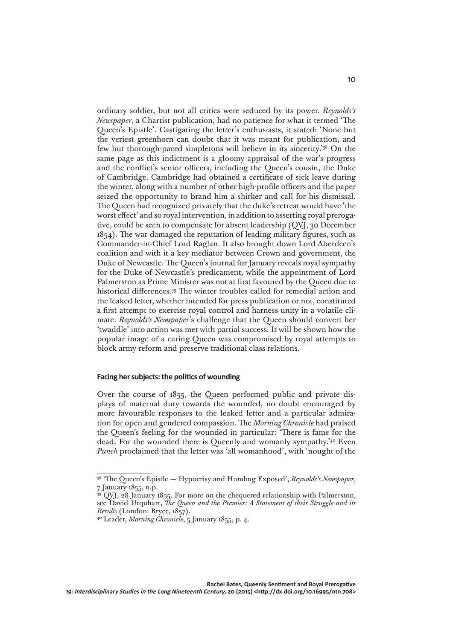ordinary soldier, but not all critics were seduced by its power. *Reynolds's Newspaper*, a Chartist publication, had no patience for what it termed 'The Queen's Epistle'. Castigating the letter's enthusiasts, it stated: 'None but the veriest greenhorn can doubt that it was meant for publication, and few but thorough-paced simpletons will believe in its sincerity.'38 On the same page as this indictment is a gloomy appraisal of the war's progress and the conflict's senior officers, including the Queen's cousin, the Duke of Cambridge. Cambridge had obtained a certificate of sick leave during the winter, along with a number of other high-profile officers and the paper seized the opportunity to brand him a shirker and call for his dismissal. The Queen had recognized privately that the duke's retreat would have 'the worst effect' and so royal intervention, in addition to asserting royal prerogative, could be seen to compensate for absent leadership (QVJ, 30 December 1854). The war damaged the reputation of leading military figures, such as Commander-in-Chief Lord Raglan. It also brought down Lord Aberdeen's coalition and with it a key mediator between Crown and government, the Duke of Newcastle. The Queen's journal for January reveals royal sympathy for the Duke of Newcastle's predicament, while the appointment of Lord Palmerston as Prime Minister was not at first favoured by the Queen due to historical differences.39 The winter troubles called for remedial action and the leaked letter, whether intended for press publication or not, constituted a first attempt to exercise royal control and harness unity in a volatile climate. *Reynolds's Newspaper*'s challenge that the Queen should convert her 'twaddle' into action was met with partial success. It will be shown how the popular image of a caring Queen was compromised by royal attempts to block army reform and preserve traditional class relations.

## **Facing her subjects: the politics of wounding**

Over the course of 1855, the Queen performed public and private displays of maternal duty towards the wounded, no doubt encouraged by more favourable responses to the leaked letter and a particular admiration for open and gendered compassion. The *Morning Chronicle* had praised the Queen's feeling for the wounded in particular: 'There is fame for the dead. For the wounded there is Queenly and womanly sympathy.'40 Even *Punch* proclaimed that the letter was 'all womanhood', with 'nought of the

<sup>38 &#</sup>x27;The Queen's Epistle — Hypocrisy and Humbug Exposed', *Reynolds's Newspaper*, 7 January 1855, n.p.

<sup>&</sup>lt;sup>39</sup> QVJ, 28 January 1855. For more on the chequered relationship with Palmerston, see David Urquhart, *The Queen and the Premier: A Statement of their Struggle and its Results* (London: Bryce, 1857).

<sup>40</sup> Leader, *Morning Chronicle*, 5 January 1855, p. 4.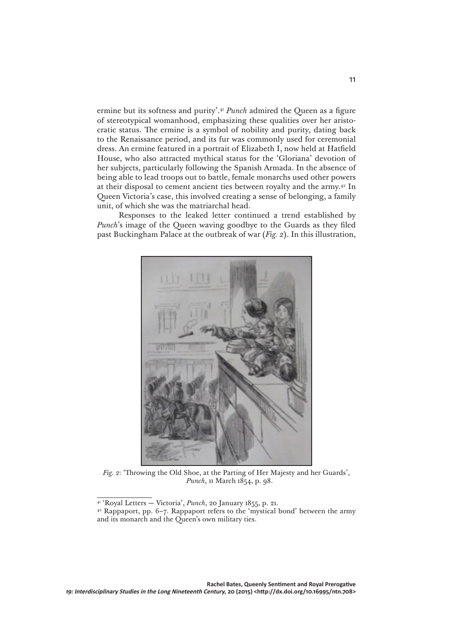ermine but its softness and purity'.<sup>41</sup> *Punch* admired the Queen as a figure of stereotypical womanhood, emphasizing these qualities over her aristocratic status. The ermine is a symbol of nobility and purity, dating back to the Renaissance period, and its fur was commonly used for ceremonial dress. An ermine featured in a portrait of Elizabeth I, now held at Hatfield House, who also attracted mythical status for the 'Gloriana' devotion of her subjects, particularly following the Spanish Armada. In the absence of being able to lead troops out to battle, female monarchs used other powers at their disposal to cement ancient ties between royalty and the army.42 In Queen Victoria's case, this involved creating a sense of belonging, a family unit, of which she was the matriarchal head.

Responses to the leaked letter continued a trend established by *Punch*'s image of the Queen waving goodbye to the Guards as they filed past Buckingham Palace at the outbreak of war (*Fig. 2*). In this illustration,



*Fig. 2*: 'Throwing the Old Shoe, at the Parting of Her Majesty and her Guards', *Punch*, 11 March 1854, p. 98.

<sup>41 &#</sup>x27;Royal Letters — Victoria', *Punch*, 20 January 1855, p. 21.

<sup>42</sup> Rappaport, pp. 6–7. Rappaport refers to the 'mystical bond' between the army and its monarch and the Queen's own military ties.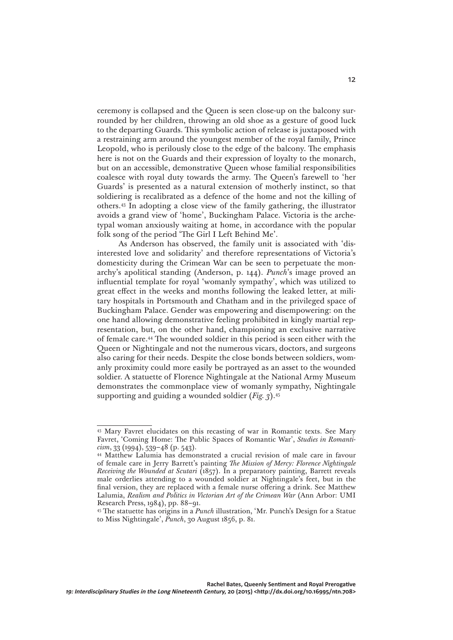ceremony is collapsed and the Queen is seen close-up on the balcony surrounded by her children, throwing an old shoe as a gesture of good luck to the departing Guards. This symbolic action of release is juxtaposed with a restraining arm around the youngest member of the royal family, Prince Leopold, who is perilously close to the edge of the balcony. The emphasis here is not on the Guards and their expression of loyalty to the monarch, but on an accessible, demonstrative Queen whose familial responsibilities coalesce with royal duty towards the army. The Queen's farewell to 'her Guards' is presented as a natural extension of motherly instinct, so that soldiering is recalibrated as a defence of the home and not the killing of others.43 In adopting a close view of the family gathering, the illustrator avoids a grand view of 'home', Buckingham Palace. Victoria is the archetypal woman anxiously waiting at home, in accordance with the popular folk song of the period 'The Girl I Left Behind Me'.

As Anderson has observed, the family unit is associated with 'disinterested love and solidarity' and therefore representations of Victoria's domesticity during the Crimean War can be seen to perpetuate the monarchy's apolitical standing (Anderson, p. 144). *Punch*'s image proved an influential template for royal 'womanly sympathy', which was utilized to great effect in the weeks and months following the leaked letter, at military hospitals in Portsmouth and Chatham and in the privileged space of Buckingham Palace. Gender was empowering and disempowering: on the one hand allowing demonstrative feeling prohibited in kingly martial representation, but, on the other hand, championing an exclusive narrative of female care.44 The wounded soldier in this period is seen either with the Queen or Nightingale and not the numerous vicars, doctors, and surgeons also caring for their needs. Despite the close bonds between soldiers, womanly proximity could more easily be portrayed as an asset to the wounded soldier. A statuette of Florence Nightingale at the National Army Museum demonstrates the commonplace view of womanly sympathy, Nightingale supporting and guiding a wounded soldier (*Fig. 3*).45

<sup>43</sup> Mary Favret elucidates on this recasting of war in Romantic texts. See Mary Favret, 'Coming Home: The Public Spaces of Romantic War', *Studies in Romanticism*, 33 (1994), 539–48 (p. 543).

<sup>44</sup> Matthew Lalumia has demonstrated a crucial revision of male care in favour of female care in Jerry Barrett's painting *The Mission of Mercy: Florence Nightingale Receiving the Wounded at Scutari* (1857). In a preparatory painting, Barrett reveals male orderlies attending to a wounded soldier at Nightingale's feet, but in the final version, they are replaced with a female nurse offering a drink. See Matthew Lalumia, *Realism and Politics in Victorian Art of the Crimean War* (Ann Arbor: UMI Research Press, 1984), pp. 88–91.

<sup>45</sup> The statuette has origins in a *Punch* illustration, 'Mr. Punch's Design for a Statue to Miss Nightingale', *Punch*, 30 August 1856, p. 81.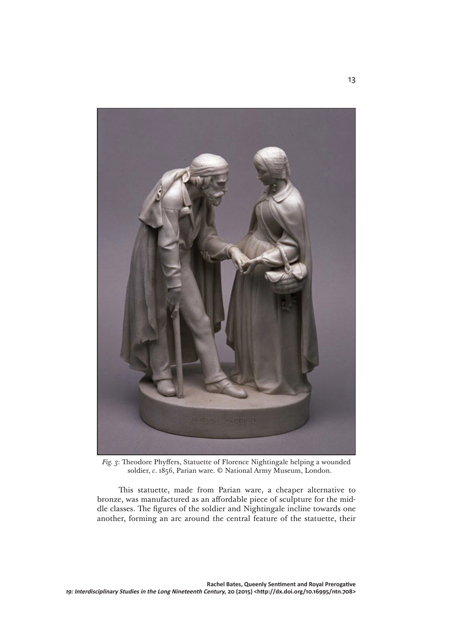

*Fig. 3*: Theodore Phyffers, Statuette of Florence Nightingale helping a wounded soldier, *c*. 1856, Parian ware. © National Army Museum, London.

This statuette, made from Parian ware, a cheaper alternative to bronze, was manufactured as an affordable piece of sculpture for the middle classes. The figures of the soldier and Nightingale incline towards one another, forming an arc around the central feature of the statuette, their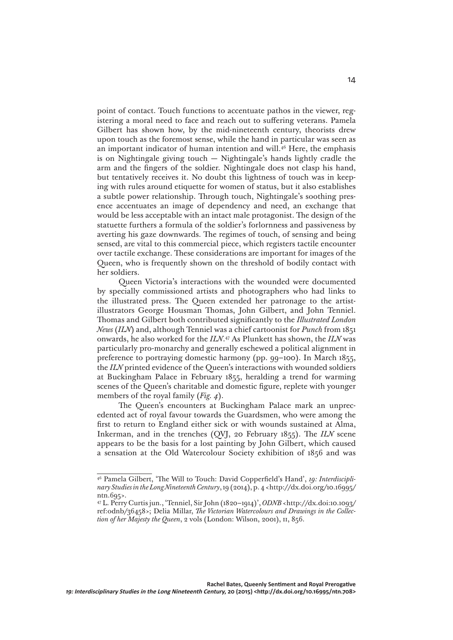point of contact. Touch functions to accentuate pathos in the viewer, registering a moral need to face and reach out to suffering veterans. Pamela Gilbert has shown how, by the mid-nineteenth century, theorists drew upon touch as the foremost sense, while the hand in particular was seen as an important indicator of human intention and will.46 Here, the emphasis is on Nightingale giving touch — Nightingale's hands lightly cradle the arm and the fingers of the soldier. Nightingale does not clasp his hand, but tentatively receives it. No doubt this lightness of touch was in keeping with rules around etiquette for women of status, but it also establishes a subtle power relationship. Through touch, Nightingale's soothing presence accentuates an image of dependency and need, an exchange that would be less acceptable with an intact male protagonist. The design of the statuette furthers a formula of the soldier's forlornness and passiveness by averting his gaze downwards. The regimes of touch, of sensing and being sensed, are vital to this commercial piece, which registers tactile encounter over tactile exchange. These considerations are important for images of the Queen, who is frequently shown on the threshold of bodily contact with her soldiers.

Queen Victoria's interactions with the wounded were documented by specially commissioned artists and photographers who had links to the illustrated press. The Queen extended her patronage to the artistillustrators George Housman Thomas, John Gilbert, and John Tenniel. Thomas and Gilbert both contributed significantly to the *Illustrated London News* (*ILN*) and, although Tenniel was a chief cartoonist for *Punch* from 1851 onwards, he also worked for the *ILN*. 47 As Plunkett has shown, the *ILN* was particularly pro-monarchy and generally eschewed a political alignment in preference to portraying domestic harmony (pp. 99–100). In March 1855, the *ILN* printed evidence of the Queen's interactions with wounded soldiers at Buckingham Palace in February 1855, heralding a trend for warming scenes of the Queen's charitable and domestic figure, replete with younger members of the royal family (*Fig. 4*).

The Queen's encounters at Buckingham Palace mark an unprecedented act of royal favour towards the Guardsmen, who were among the first to return to England either sick or with wounds sustained at Alma, Inkerman, and in the trenches (QVJ, 20 February 1855). The *ILN* scene appears to be the basis for a lost painting by John Gilbert, which caused a sensation at the Old Watercolour Society exhibition of 1856 and was

<sup>46</sup> Pamela Gilbert, 'The Will to Touch: David Copperfield's Hand', *19: Interdisciplinary Studies in the Long Nineteenth Century*,19 (2014), p. 4 <http://dx.doi.org/10.16995/ ntn.695>.

<sup>47</sup> L. Perry Curtis jun., 'Tenniel, Sir John (1820–1914)', *ODNB* <http://dx.doi:10.1093/ ref:odnb/36458>; Delia Millar, *The Victorian Watercolours and Drawings in the Collection of her Majesty the Queen*, 2 vols (London: Wilson, 2001), ii, 856.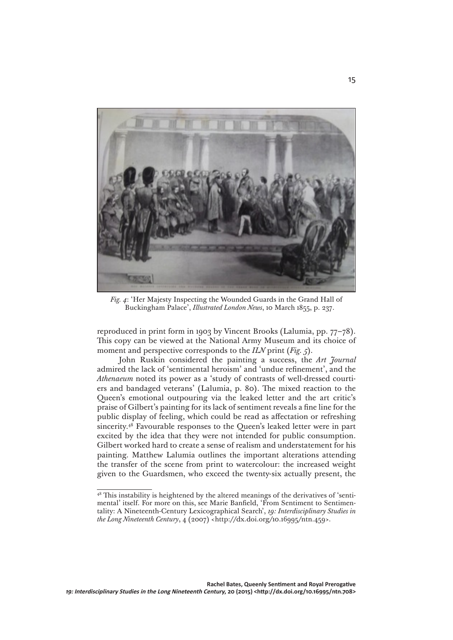

*Fig. 4*: 'Her Majesty Inspecting the Wounded Guards in the Grand Hall of Buckingham Palace', *Illustrated London News*, 10 March 1855, p. 237.

reproduced in print form in 1903 by Vincent Brooks (Lalumia, pp. 77–78). This copy can be viewed at the National Army Museum and its choice of moment and perspective corresponds to the *ILN* print (*Fig. 5*).

John Ruskin considered the painting a success, the *Art Journal*  admired the lack of 'sentimental heroism' and 'undue refinement', and the *Athenaeum* noted its power as a 'study of contrasts of well-dressed courtiers and bandaged veterans' (Lalumia, p. 80). The mixed reaction to the Queen's emotional outpouring via the leaked letter and the art critic's praise of Gilbert's painting for its lack of sentiment reveals a fine line for the public display of feeling, which could be read as affectation or refreshing sincerity.48 Favourable responses to the Queen's leaked letter were in part excited by the idea that they were not intended for public consumption. Gilbert worked hard to create a sense of realism and understatement for his painting. Matthew Lalumia outlines the important alterations attending the transfer of the scene from print to watercolour: the increased weight given to the Guardsmen, who exceed the twenty-six actually present, the

<sup>&</sup>lt;sup>48</sup> This instability is heightened by the altered meanings of the derivatives of 'sentimental' itself. For more on this, see Marie Banfield, 'From Sentiment to Sentimentality: A Nineteenth-Century Lexicographical Search', *19: Interdisciplinary Studies in the Long Nineteenth Century*, 4 (2007) <http://dx.doi.org/10.16995/ntn.459>.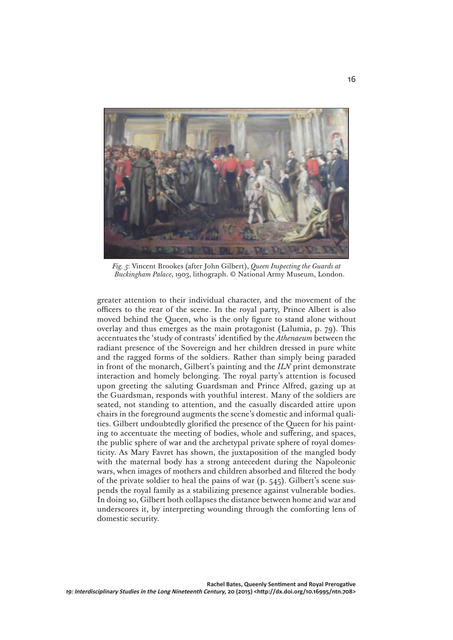

*Fig. 5*: Vincent Brookes (after John Gilbert), *Queen Inspecting the Guards at Buckingham Palace*, 1903, lithograph. © National Army Museum, London.

greater attention to their individual character, and the movement of the officers to the rear of the scene. In the royal party, Prince Albert is also moved behind the Queen, who is the only figure to stand alone without overlay and thus emerges as the main protagonist (Lalumia, p. 79). This accentuates the 'study of contrasts' identified by the *Athenaeum* between the radiant presence of the Sovereign and her children dressed in pure white and the ragged forms of the soldiers. Rather than simply being paraded in front of the monarch, Gilbert's painting and the *ILN* print demonstrate interaction and homely belonging. The royal party's attention is focused upon greeting the saluting Guardsman and Prince Alfred, gazing up at the Guardsman, responds with youthful interest. Many of the soldiers are seated, not standing to attention, and the casually discarded attire upon chairs in the foreground augments the scene's domestic and informal qualities. Gilbert undoubtedly glorified the presence of the Queen for his painting to accentuate the meeting of bodies, whole and suffering, and spaces, the public sphere of war and the archetypal private sphere of royal domesticity. As Mary Favret has shown, the juxtaposition of the mangled body with the maternal body has a strong antecedent during the Napoleonic wars, when images of mothers and children absorbed and filtered the body of the private soldier to heal the pains of war (p. 545). Gilbert's scene suspends the royal family as a stabilizing presence against vulnerable bodies. In doing so, Gilbert both collapses the distance between home and war and underscores it, by interpreting wounding through the comforting lens of domestic security.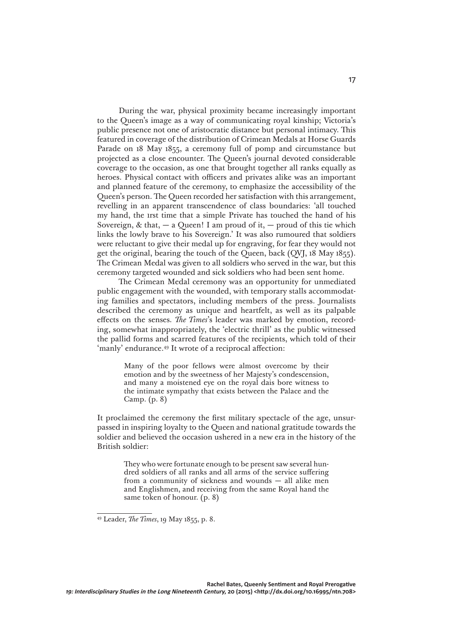During the war, physical proximity became increasingly important to the Queen's image as a way of communicating royal kinship; Victoria's public presence not one of aristocratic distance but personal intimacy. This featured in coverage of the distribution of Crimean Medals at Horse Guards Parade on 18 May 1855, a ceremony full of pomp and circumstance but projected as a close encounter. The Queen's journal devoted considerable coverage to the occasion, as one that brought together all ranks equally as heroes. Physical contact with officers and privates alike was an important and planned feature of the ceremony, to emphasize the accessibility of the Queen's person. The Queen recorded her satisfaction with this arrangement, revelling in an apparent transcendence of class boundaries: 'all touched my hand, the 1rst time that a simple Private has touched the hand of his Sovereign, & that,  $-$  a Queen! I am proud of it,  $-$  proud of this tie which links the lowly brave to his Sovereign.' It was also rumoured that soldiers were reluctant to give their medal up for engraving, for fear they would not get the original, bearing the touch of the Queen, back (QVJ, 18 May 1855). The Crimean Medal was given to all soldiers who served in the war, but this ceremony targeted wounded and sick soldiers who had been sent home.

The Crimean Medal ceremony was an opportunity for unmediated public engagement with the wounded, with temporary stalls accommodating families and spectators, including members of the press. Journalists described the ceremony as unique and heartfelt, as well as its palpable effects on the senses*. The Times*'s leader was marked by emotion, recording, somewhat inappropriately, the 'electric thrill' as the public witnessed the pallid forms and scarred features of the recipients, which told of their 'manly' endurance.49 It wrote of a reciprocal affection:

> Many of the poor fellows were almost overcome by their emotion and by the sweetness of her Majesty's condescension, and many a moistened eye on the royal dais bore witness to the intimate sympathy that exists between the Palace and the Camp. (p. 8)

It proclaimed the ceremony the first military spectacle of the age, unsurpassed in inspiring loyalty to the Queen and national gratitude towards the soldier and believed the occasion ushered in a new era in the history of the British soldier:

> They who were fortunate enough to be present saw several hundred soldiers of all ranks and all arms of the service suffering from a community of sickness and wounds — all alike men and Englishmen, and receiving from the same Royal hand the same token of honour. (p. 8)

<sup>49</sup> Leader, *The Times*, 19 May 1855, p. 8.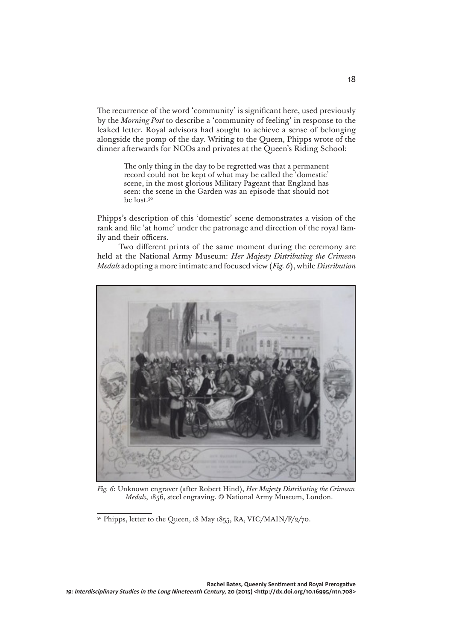The recurrence of the word 'community' is significant here, used previously by the *Morning Post* to describe a 'community of feeling' in response to the leaked letter. Royal advisors had sought to achieve a sense of belonging alongside the pomp of the day. Writing to the Queen, Phipps wrote of the dinner afterwards for NCOs and privates at the Queen's Riding School:

> The only thing in the day to be regretted was that a permanent record could not be kept of what may be called the 'domestic' scene, in the most glorious Military Pageant that England has seen: the scene in the Garden was an episode that should not be lost.50

Phipps's description of this 'domestic' scene demonstrates a vision of the rank and file 'at home' under the patronage and direction of the royal family and their officers.

Two different prints of the same moment during the ceremony are held at the National Army Museum: *Her Majesty Distributing the Crimean Medals* adopting a more intimate and focused view (*Fig. 6*), while *Distribution* 



*Fig. 6*: Unknown engraver (after Robert Hind), *Her Majesty Distributing the Crimean Medals*, 1856, steel engraving. © National Army Museum, London.

<sup>&</sup>lt;sup>50</sup> Phipps, letter to the Queen, 18 May 1855, RA, VIC/MAIN/F/2/70.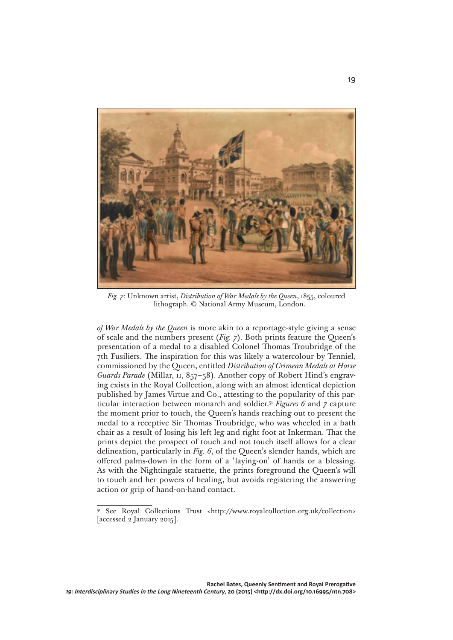

*Fig. 7*: Unknown artist, *Distribution of War Medals by the Queen*, 1855, coloured lithograph. © National Army Museum, London.

*of War Medals by the Queen* is more akin to a reportage-style giving a sense of scale and the numbers present (*Fig. 7*). Both prints feature the Queen's presentation of a medal to a disabled Colonel Thomas Troubridge of the 7th Fusiliers. The inspiration for this was likely a watercolour by Tenniel, commissioned by the Queen, entitled *Distribution of Crimean Medals at Horse Guards Parade* (Millar, ii, 857–58). Another copy of Robert Hind's engraving exists in the Royal Collection, along with an almost identical depiction published by James Virtue and Co., attesting to the popularity of this particular interaction between monarch and soldier.51 *Figures 6* and *7* capture the moment prior to touch, the Queen's hands reaching out to present the medal to a receptive Sir Thomas Troubridge, who was wheeled in a bath chair as a result of losing his left leg and right foot at Inkerman. That the prints depict the prospect of touch and not touch itself allows for a clear delineation, particularly in *Fig. 6*, of the Queen's slender hands, which are offered palms-down in the form of a 'laying-on' of hands or a blessing. As with the Nightingale statuette, the prints foreground the Queen's will to touch and her powers of healing, but avoids registering the answering action or grip of hand-on-hand contact.

<sup>51</sup> See Royal Collections Trust <http://www.royalcollection.org.uk/collection> [accessed 2 January 2015].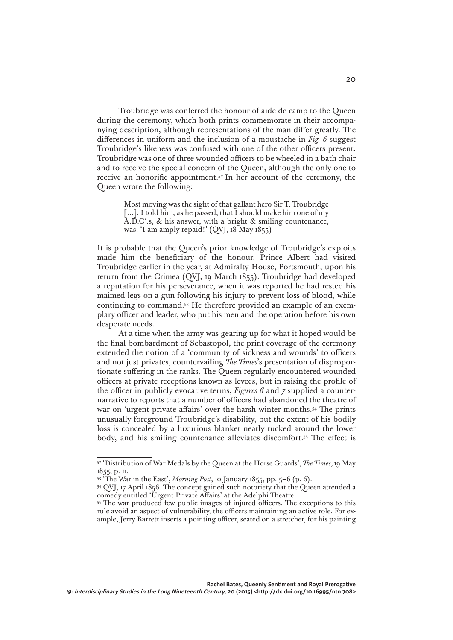Troubridge was conferred the honour of aide-de-camp to the Queen during the ceremony, which both prints commemorate in their accompanying description, although representations of the man differ greatly. The differences in uniform and the inclusion of a moustache in *Fig. 6* suggest Troubridge's likeness was confused with one of the other officers present. Troubridge was one of three wounded officers to be wheeled in a bath chair and to receive the special concern of the Queen, although the only one to receive an honorific appointment.52 In her account of the ceremony, the Queen wrote the following:

> Most moving was the sight of that gallant hero Sir T. Troubridge [...]. I told him, as he passed, that I should make him one of my A.D.C'.s, & his answer, with a bright & smiling countenance, was: 'I am amply repaid!' (QVJ, 18 May 1855)

It is probable that the Queen's prior knowledge of Troubridge's exploits made him the beneficiary of the honour. Prince Albert had visited Troubridge earlier in the year, at Admiralty House, Portsmouth, upon his return from the Crimea (QVJ, 19 March 1855). Troubridge had developed a reputation for his perseverance, when it was reported he had rested his maimed legs on a gun following his injury to prevent loss of blood, while continuing to command.53 He therefore provided an example of an exemplary officer and leader, who put his men and the operation before his own desperate needs.

At a time when the army was gearing up for what it hoped would be the final bombardment of Sebastopol, the print coverage of the ceremony extended the notion of a 'community of sickness and wounds' to officers and not just privates, countervailing *The Times*'s presentation of disproportionate suffering in the ranks. The Queen regularly encountered wounded officers at private receptions known as levees, but in raising the profile of the officer in publicly evocative terms, *Figures 6* and *7* supplied a counternarrative to reports that a number of officers had abandoned the theatre of war on 'urgent private affairs' over the harsh winter months.54 The prints unusually foreground Troubridge's disability, but the extent of his bodily loss is concealed by a luxurious blanket neatly tucked around the lower body, and his smiling countenance alleviates discomfort.55 The effect is

<sup>52 &#</sup>x27;Distribution of War Medals by the Queen at the Horse Guards', *The Times*, 19 May 1855, p. 11.

<sup>53 &#</sup>x27;The War in the East', *Morning Post*, 10 January 1855, pp. 5–6 (p. 6).

<sup>54</sup> QVJ, 17 April 1856. The concept gained such notoriety that the Queen attended a comedy entitled 'Urgent Private Affairs' at the Adelphi Theatre.

<sup>55</sup> The war produced few public images of injured officers. The exceptions to this rule avoid an aspect of vulnerability, the officers maintaining an active role. For example, Jerry Barrett inserts a pointing officer, seated on a stretcher, for his painting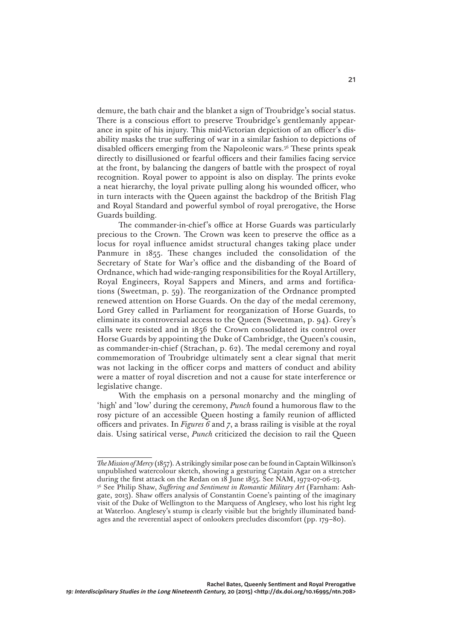demure, the bath chair and the blanket a sign of Troubridge's social status. There is a conscious effort to preserve Troubridge's gentlemanly appearance in spite of his injury. This mid-Victorian depiction of an officer's disability masks the true suffering of war in a similar fashion to depictions of disabled officers emerging from the Napoleonic wars.56 These prints speak directly to disillusioned or fearful officers and their families facing service at the front, by balancing the dangers of battle with the prospect of royal recognition. Royal power to appoint is also on display. The prints evoke a neat hierarchy, the loyal private pulling along his wounded officer, who in turn interacts with the Queen against the backdrop of the British Flag and Royal Standard and powerful symbol of royal prerogative, the Horse Guards building.

The commander-in-chief's office at Horse Guards was particularly precious to the Crown. The Crown was keen to preserve the office as a locus for royal influence amidst structural changes taking place under Panmure in 1855. These changes included the consolidation of the Secretary of State for War's office and the disbanding of the Board of Ordnance, which had wide-ranging responsibilities for the Royal Artillery, Royal Engineers, Royal Sappers and Miners, and arms and fortifications (Sweetman, p. 59). The reorganization of the Ordnance prompted renewed attention on Horse Guards. On the day of the medal ceremony, Lord Grey called in Parliament for reorganization of Horse Guards, to eliminate its controversial access to the Queen (Sweetman, p. 94). Grey's calls were resisted and in 1856 the Crown consolidated its control over Horse Guards by appointing the Duke of Cambridge, the Queen's cousin, as commander-in-chief (Strachan, p. 62). The medal ceremony and royal commemoration of Troubridge ultimately sent a clear signal that merit was not lacking in the officer corps and matters of conduct and ability were a matter of royal discretion and not a cause for state interference or legislative change.

With the emphasis on a personal monarchy and the mingling of 'high' and 'low' during the ceremony, *Punch* found a humorous flaw to the rosy picture of an accessible Queen hosting a family reunion of afflicted officers and privates. In *Figures 6* and *7*, a brass railing is visible at the royal dais. Using satirical verse, *Punch* criticized the decision to rail the Queen

*The Mission of Mercy* (1857)*.* A strikingly similar pose can be found in Captain Wilkinson's unpublished watercolour sketch, showing a gesturing Captain Agar on a stretcher during the first attack on the Redan on 18 June 1855. See NAM, 1972-07-06-23.

<sup>56</sup> See Philip Shaw, *Suffering and Sentiment in Romantic Military Art* (Farnham: Ashgate, 2013). Shaw offers analysis of Constantin Coene's painting of the imaginary visit of the Duke of Wellington to the Marquess of Anglesey, who lost his right leg at Waterloo. Anglesey's stump is clearly visible but the brightly illuminated bandages and the reverential aspect of onlookers precludes discomfort (pp. 179–80).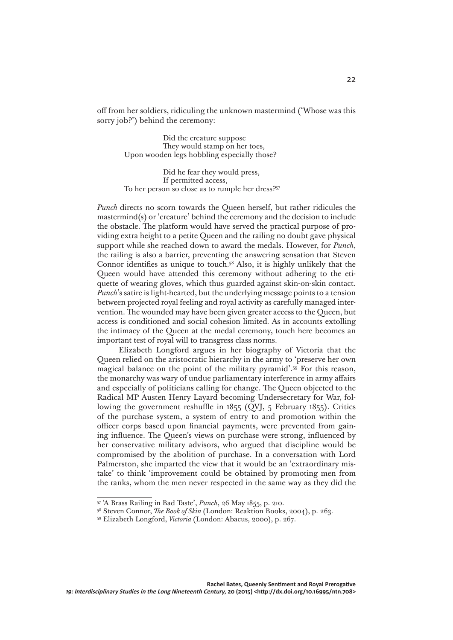off from her soldiers, ridiculing the unknown mastermind ('Whose was this sorry job?') behind the ceremony:

> Did the creature suppose They would stamp on her toes, Upon wooden legs hobbling especially those?

 Did he fear they would press, If permitted access, To her person so close as to rumple her dress?57

*Punch* directs no scorn towards the Queen herself, but rather ridicules the mastermind(s) or 'creature' behind the ceremony and the decision to include the obstacle. The platform would have served the practical purpose of providing extra height to a petite Queen and the railing no doubt gave physical support while she reached down to award the medals. However, for *Punch*, the railing is also a barrier, preventing the answering sensation that Steven Connor identifies as unique to touch.58 Also, it is highly unlikely that the Queen would have attended this ceremony without adhering to the etiquette of wearing gloves, which thus guarded against skin-on-skin contact. *Punch*'s satire is light-hearted, but the underlying message points to a tension between projected royal feeling and royal activity as carefully managed intervention. The wounded may have been given greater access to the Queen, but access is conditioned and social cohesion limited*.* As in accounts extolling the intimacy of the Queen at the medal ceremony, touch here becomes an important test of royal will to transgress class norms.

Elizabeth Longford argues in her biography of Victoria that the Queen relied on the aristocratic hierarchy in the army to 'preserve her own magical balance on the point of the military pyramid'.59 For this reason, the monarchy was wary of undue parliamentary interference in army affairs and especially of politicians calling for change. The Queen objected to the Radical MP Austen Henry Layard becoming Undersecretary for War, following the government reshuffle in 1855 (QVJ, 5 February 1855). Critics of the purchase system, a system of entry to and promotion within the officer corps based upon financial payments, were prevented from gaining influence. The Queen's views on purchase were strong, influenced by her conservative military advisors, who argued that discipline would be compromised by the abolition of purchase. In a conversation with Lord Palmerston, she imparted the view that it would be an 'extraordinary mistake' to think 'improvement could be obtained by promoting men from the ranks, whom the men never respected in the same way as they did the

<sup>57 &#</sup>x27;A Brass Railing in Bad Taste', *Punch*, 26 May 1855, p. 210.

<sup>58</sup> Steven Connor, *The Book of Skin* (London: Reaktion Books, 2004), p. 263.

<sup>59</sup> Elizabeth Longford, *Victoria* (London: Abacus, 2000), p. 267.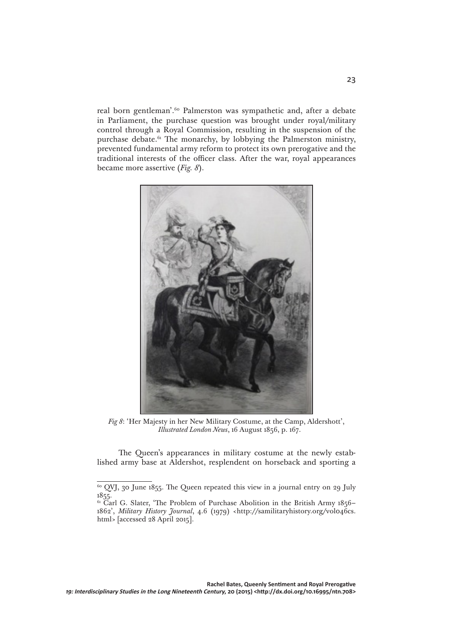real born gentleman'.<sup>60</sup> Palmerston was sympathetic and, after a debate in Parliament, the purchase question was brought under royal/military control through a Royal Commission, resulting in the suspension of the purchase debate.<sup>61</sup> The monarchy, by lobbying the Palmerston ministry, prevented fundamental army reform to protect its own prerogative and the traditional interests of the officer class. After the war, royal appearances became more assertive (*Fig. 8*).



*Fig 8*: 'Her Majesty in her New Military Costume, at the Camp, Aldershott', *Illustrated London News*, 16 August 1856, p. 167.

The Queen's appearances in military costume at the newly established army base at Aldershot, resplendent on horseback and sporting a

 $60$  QVJ, 30 June 1855. The Queen repeated this view in a journal entry on 29 July 1855.

<sup>&</sup>lt;sup>61</sup> Carl G. Slater, 'The Problem of Purchase Abolition in the British Army 1856– 1862', *Military History Journal*, 4.6 (1979) <http://samilitaryhistory.org/vol046cs. html> [accessed 28 April 2015].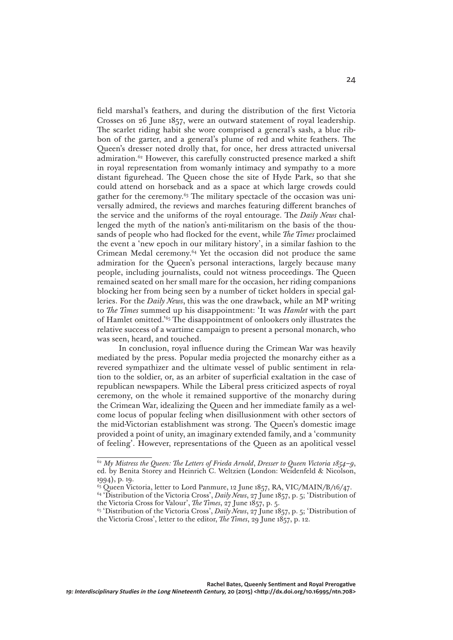field marshal's feathers, and during the distribution of the first Victoria Crosses on 26 June 1857, were an outward statement of royal leadership. The scarlet riding habit she wore comprised a general's sash, a blue ribbon of the garter, and a general's plume of red and white feathers. The Queen's dresser noted drolly that, for once, her dress attracted universal admiration.<sup>62</sup> However, this carefully constructed presence marked a shift in royal representation from womanly intimacy and sympathy to a more distant figurehead. The Queen chose the site of Hyde Park, so that she could attend on horseback and as a space at which large crowds could gather for the ceremony. $63$  The military spectacle of the occasion was universally admired, the reviews and marches featuring different branches of the service and the uniforms of the royal entourage. The *Daily News* challenged the myth of the nation's anti-militarism on the basis of the thousands of people who had flocked for the event, while *The Times* proclaimed the event a 'new epoch in our military history', in a similar fashion to the Crimean Medal ceremony.64 Yet the occasion did not produce the same admiration for the Queen's personal interactions, largely because many people, including journalists, could not witness proceedings. The Queen remained seated on her small mare for the occasion, her riding companions blocking her from being seen by a number of ticket holders in special galleries. For the *Daily News*, this was the one drawback, while an MP writing to *The Times* summed up his disappointment: 'It was *Hamlet* with the part of Hamlet omitted.'65 The disappointment of onlookers only illustrates the relative success of a wartime campaign to present a personal monarch, who was seen, heard, and touched.

In conclusion, royal influence during the Crimean War was heavily mediated by the press. Popular media projected the monarchy either as a revered sympathizer and the ultimate vessel of public sentiment in relation to the soldier, or, as an arbiter of superficial exaltation in the case of republican newspapers. While the Liberal press criticized aspects of royal ceremony, on the whole it remained supportive of the monarchy during the Crimean War, idealizing the Queen and her immediate family as a welcome locus of popular feeling when disillusionment with other sectors of the mid-Victorian establishment was strong. The Queen's domestic image provided a point of unity, an imaginary extended family, and a 'community of feeling'. However, representations of the Queen as an apolitical vessel

<sup>62</sup> *My Mistress the Queen: The Letters of Frieda Arnold*, *Dresser to Queen Victoria 1854–9*, ed. by Benita Storey and Heinrich C. Weltzien (London: Weidenfeld & Nicolson, 1994), p. 19.

 $^{63}$  Queen Victoria, letter to Lord Panmure, 12 June 1857, RA, VIC/MAIN/B/16/47.

<sup>&</sup>lt;sup>64</sup> 'Distribution of the Victoria Cross', *Daily News*, 27 June 1857, p. 5; 'Distribution of the Victoria Cross for Valour', *The Times*, 27 June 1857, p. 5.

<sup>65 &#</sup>x27;Distribution of the Victoria Cross', *Daily News*, 27 June 1857, p. 5; 'Distribution of the Victoria Cross', letter to the editor, *The Times*, 29 June 1857, p. 12.